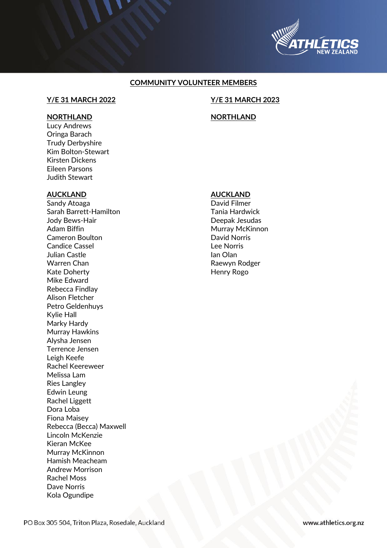

## **COMMUNITY VOLUNTEER MEMBERS**

# **Y/E 31 MARCH 2022 Y/E 31 MARCH 2023**

# **NORTHLAND NORTHLAND**

Lucy Andrews Oringa Barach Trudy Derbyshire Kim Bolton-Stewart Kirsten Dickens Eileen Parsons Judith Stewart

### **AUCKLAND AUCKLAND**

Sandy Atoaga<br>
Sarah Barrett-Hamilton<br>
Sarah Barrett-Hamilton Sarah Barrett-Hamilton Jody Bews-Hair **Deepak Jesudas** Adam Biffin **Murray Murray McKinnon Cameron Boulton David Norris** Candice Cassel Lee Norris Julian Castle Ian Olan Warren Chan **Raewyn Rodger** Raewyn Rodger Kate Doherty **Example 20** Henry Rogo Mike Edward Rebecca Findlay Alison Fletcher Petro Geldenhuys Kylie Hall Marky Hardy Murray Hawkins Alysha Jensen Terrence Jensen Leigh Keefe Rachel Keereweer Melissa Lam Ries Langley Edwin Leung Rachel Liggett Dora Loba Fiona Maisey Rebecca (Becca) Maxwell Lincoln McKenzie Kieran McKee Murray McKinnon Hamish Meacheam Andrew Morrison Rachel Moss Dave Norris Kola Ogundipe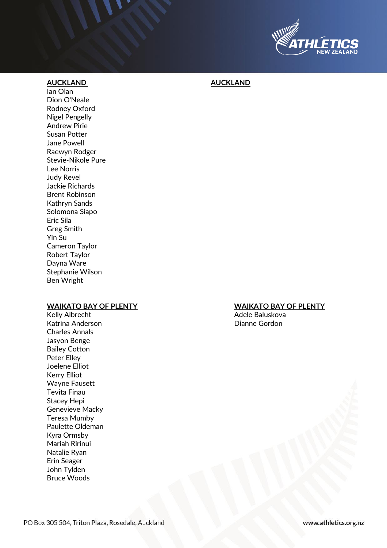

### **AUCKLAND AUCKLAND**

Ian Olan Dion O'Neale Rodney Oxford Nigel Pengelly Andrew Pirie Susan Potter Jane Powell Raewyn Rodger Stevie-Nikole Pure Lee Norris Judy Revel Jackie Richards Brent Robinson Kathryn Sands Solomona Siapo Eric Sila Greg Smith Yin Su Cameron Taylor Robert Taylor Dayna Ware Stephanie Wilson Ben Wright

Kelly Albrecht **Adele Baluskova** Katrina Anderson Dianne Gordon Charles Annals Jasyon Benge Bailey Cotton Peter Elley Joelene Elliot Kerry Elliot Wayne Fausett Tevita Finau Stacey Hepi Genevieve Macky Teresa Mumby Paulette Oldeman Kyra Ormsby Mariah Ririnui Natalie Ryan Erin Seager John Tylden Bruce Woods

### **WAIKATO BAY OF PLENTY WAIKATO BAY OF PLENTY**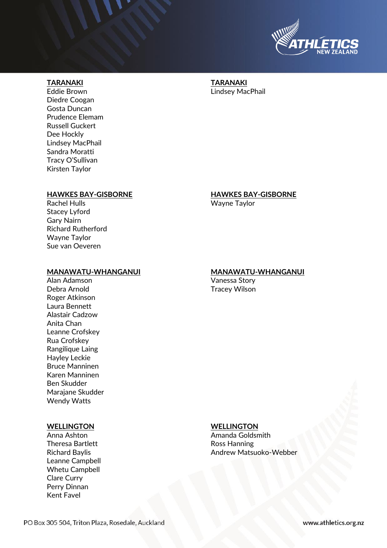

# **TARANAKI TARANAKI**

Eddie Brown **Lindsey MacPhail** Diedre Coogan Gosta Duncan Prudence Elemam Russell Guckert Dee Hockly Lindsey MacPhail Sandra Moratti Tracy O'Sullivan Kirsten Taylor

# Rachel Hulls **National Strutter Wayne Taylor** Stacey Lyford Gary Nairn Richard Rutherford Wayne Taylor Sue van Oeveren

Alan Adamson Vanessa Story Debra Arnold **Tracey Wilson** Roger Atkinson Laura Bennett Alastair Cadzow Anita Chan Leanne Crofskey Rua Crofskey Rangilique Laing Hayley Leckie Bruce Manninen Karen Manninen Ben Skudder Marajane Skudder Wendy Watts

### **WELLINGTON WELLINGTON**

Theresa Bartlett **Ross** Hanning Leanne Campbell Whetu Campbell Clare Curry Perry Dinnan Kent Favel

# **HAWKES BAY-GISBORNE HAWKES BAY-GISBORNE**

### **MANAWATU-WHANGANUI MANAWATU-WHANGANUI**

Anna Ashton **Amanda** Goldsmith Richard Baylis **Andrew Matsuoko-Webber** Andrew Matsuoko-Webber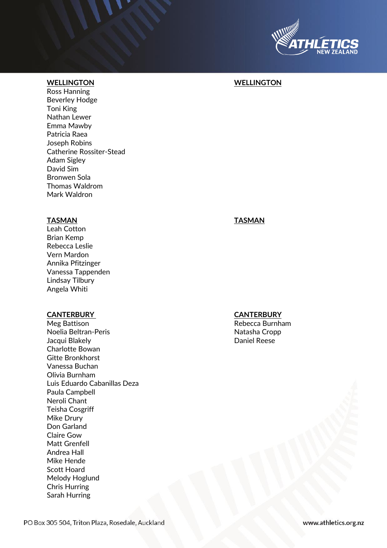

### **WELLINGTON WELLINGTON**

Ross Hanning Beverley Hodge Toni King Nathan Lewer Emma Mawby Patricia Raea Joseph Robins Catherine Rossiter -Stead Adam Sigley David Sim Bronwen Sola Thomas Waldrom Mark Waldron

Leah Cotton Brian Kemp Rebecca Leslie Vern Mardon Annika Pfitzinger Vanessa Tappenden Lindsay Tilbury Angela Whiti

### **CANTERBURY CANTERBURY**

Meg Battison **Meg Battison** Rebecca Burnham Noelia Beltran Jacqui Blakely **Daniel Reese** Charlotte Bowan Gitte Bronkhorst Vanessa Buchan Olivia Burnham Luis Eduardo Cabanillas Deza Paula Campbell Neroli Chant Teisha Cosgriff Mike Drury Don Garland Claire Gow Matt Grenfell Andrea Hall Mike Hende Scott Hoard Melody Hoglund Chris Hurring Sarah Hurring

### **TASMAN TASMAN**

Natasha Cropp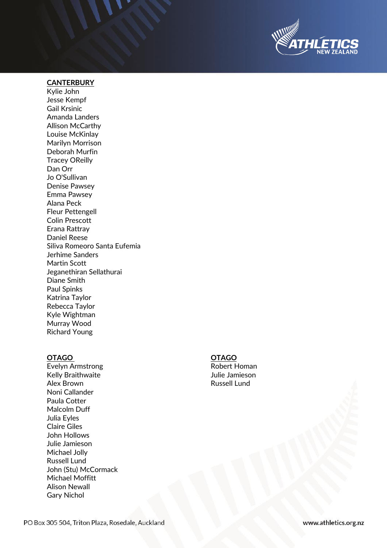

### **CANTERBURY**

Kylie John Jesse Kempf Gail Krsinic Amanda Landers Allison McCarthy Louise McKinlay Marilyn Morrison Deborah Murfin Tracey OReilly Dan Orr Jo O'Sullivan Denise Pawsey Emma Pawsey Alana Peck Fleur Pettengell Colin Prescott Erana Rattray Daniel Reese Siliva Romeoro Santa Eufemia Jerhime Sanders Martin Scott Jeganethiran Sellathurai Diane Smith Paul Spinks Katrina Taylor Rebecca Taylor Kyle Wightman Murray Wood Richard Young

### **OTAGO OTAGO**

Evelyn Armstrong **Evelyn Armstrong Robert Homan** Kelly Braithwaite **Australia Executes** Australia Julie Jamieson Alex Brown Russell Lund Noni Callander Paula Cotter Malcolm Duff Julia Eyles Claire Giles John Hollows Julie Jamieson Michael Jolly Russell Lund John (Stu) McCormack Michael Moffitt Alison Newall Gary Nichol